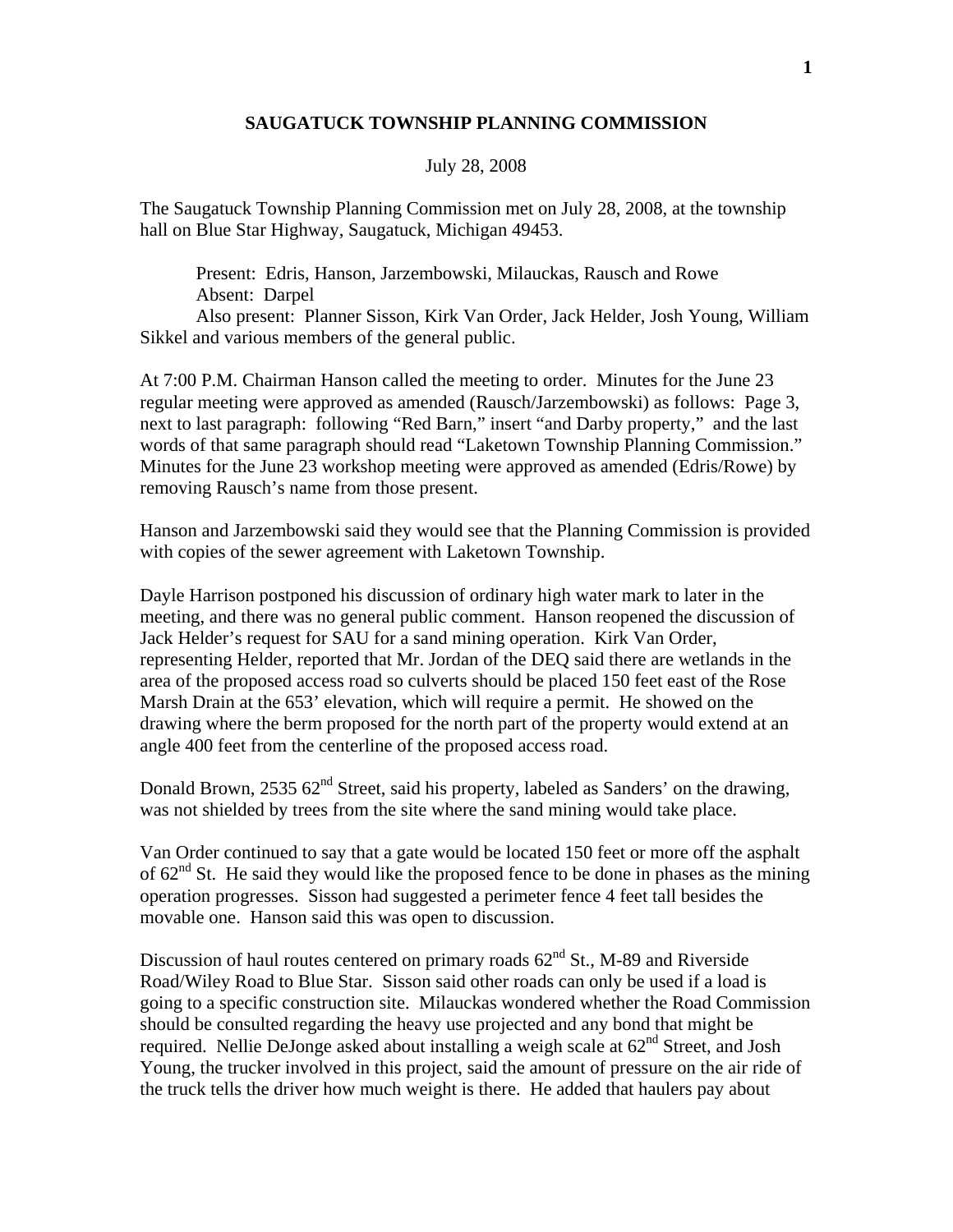## **SAUGATUCK TOWNSHIP PLANNING COMMISSION**

## July 28, 2008

The Saugatuck Township Planning Commission met on July 28, 2008, at the township hall on Blue Star Highway, Saugatuck, Michigan 49453.

 Present: Edris, Hanson, Jarzembowski, Milauckas, Rausch and Rowe Absent: Darpel

 Also present: Planner Sisson, Kirk Van Order, Jack Helder, Josh Young, William Sikkel and various members of the general public.

At 7:00 P.M. Chairman Hanson called the meeting to order. Minutes for the June 23 regular meeting were approved as amended (Rausch/Jarzembowski) as follows: Page 3, next to last paragraph: following "Red Barn," insert "and Darby property," and the last words of that same paragraph should read "Laketown Township Planning Commission." Minutes for the June 23 workshop meeting were approved as amended (Edris/Rowe) by removing Rausch's name from those present.

Hanson and Jarzembowski said they would see that the Planning Commission is provided with copies of the sewer agreement with Laketown Township.

Dayle Harrison postponed his discussion of ordinary high water mark to later in the meeting, and there was no general public comment. Hanson reopened the discussion of Jack Helder's request for SAU for a sand mining operation. Kirk Van Order, representing Helder, reported that Mr. Jordan of the DEQ said there are wetlands in the area of the proposed access road so culverts should be placed 150 feet east of the Rose Marsh Drain at the 653' elevation, which will require a permit. He showed on the drawing where the berm proposed for the north part of the property would extend at an angle 400 feet from the centerline of the proposed access road.

Donald Brown, 2535  $62<sup>nd</sup>$  Street, said his property, labeled as Sanders' on the drawing, was not shielded by trees from the site where the sand mining would take place.

Van Order continued to say that a gate would be located 150 feet or more off the asphalt of  $62<sup>nd</sup>$  St. He said they would like the proposed fence to be done in phases as the mining operation progresses. Sisson had suggested a perimeter fence 4 feet tall besides the movable one. Hanson said this was open to discussion.

Discussion of haul routes centered on primary roads  $62<sup>nd</sup>$  St., M-89 and Riverside Road/Wiley Road to Blue Star. Sisson said other roads can only be used if a load is going to a specific construction site. Milauckas wondered whether the Road Commission should be consulted regarding the heavy use projected and any bond that might be required. Nellie DeJonge asked about installing a weigh scale at  $62<sup>nd</sup>$  Street, and Josh Young, the trucker involved in this project, said the amount of pressure on the air ride of the truck tells the driver how much weight is there. He added that haulers pay about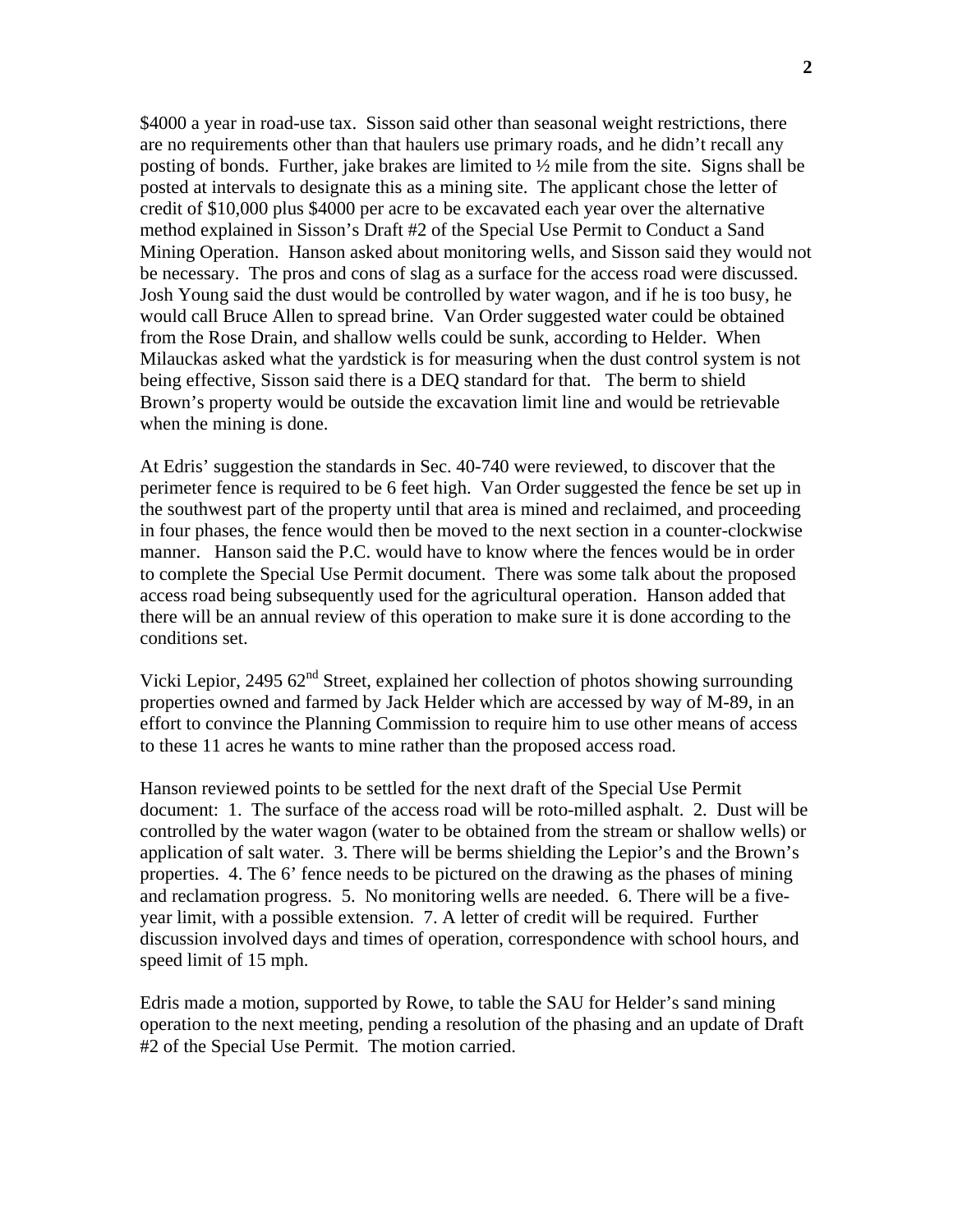\$4000 a year in road-use tax. Sisson said other than seasonal weight restrictions, there are no requirements other than that haulers use primary roads, and he didn't recall any posting of bonds. Further, jake brakes are limited to ½ mile from the site. Signs shall be posted at intervals to designate this as a mining site. The applicant chose the letter of credit of \$10,000 plus \$4000 per acre to be excavated each year over the alternative method explained in Sisson's Draft #2 of the Special Use Permit to Conduct a Sand Mining Operation. Hanson asked about monitoring wells, and Sisson said they would not be necessary. The pros and cons of slag as a surface for the access road were discussed. Josh Young said the dust would be controlled by water wagon, and if he is too busy, he would call Bruce Allen to spread brine. Van Order suggested water could be obtained from the Rose Drain, and shallow wells could be sunk, according to Helder. When Milauckas asked what the yardstick is for measuring when the dust control system is not being effective, Sisson said there is a DEQ standard for that. The berm to shield Brown's property would be outside the excavation limit line and would be retrievable when the mining is done.

At Edris' suggestion the standards in Sec. 40-740 were reviewed, to discover that the perimeter fence is required to be 6 feet high. Van Order suggested the fence be set up in the southwest part of the property until that area is mined and reclaimed, and proceeding in four phases, the fence would then be moved to the next section in a counter-clockwise manner. Hanson said the P.C. would have to know where the fences would be in order to complete the Special Use Permit document. There was some talk about the proposed access road being subsequently used for the agricultural operation. Hanson added that there will be an annual review of this operation to make sure it is done according to the conditions set.

Vicki Lepior, 2495  $62<sup>nd</sup>$  Street, explained her collection of photos showing surrounding properties owned and farmed by Jack Helder which are accessed by way of M-89, in an effort to convince the Planning Commission to require him to use other means of access to these 11 acres he wants to mine rather than the proposed access road.

Hanson reviewed points to be settled for the next draft of the Special Use Permit document: 1. The surface of the access road will be roto-milled asphalt. 2. Dust will be controlled by the water wagon (water to be obtained from the stream or shallow wells) or application of salt water. 3. There will be berms shielding the Lepior's and the Brown's properties. 4. The 6' fence needs to be pictured on the drawing as the phases of mining and reclamation progress. 5. No monitoring wells are needed. 6. There will be a fiveyear limit, with a possible extension. 7. A letter of credit will be required. Further discussion involved days and times of operation, correspondence with school hours, and speed limit of 15 mph.

Edris made a motion, supported by Rowe, to table the SAU for Helder's sand mining operation to the next meeting, pending a resolution of the phasing and an update of Draft #2 of the Special Use Permit. The motion carried.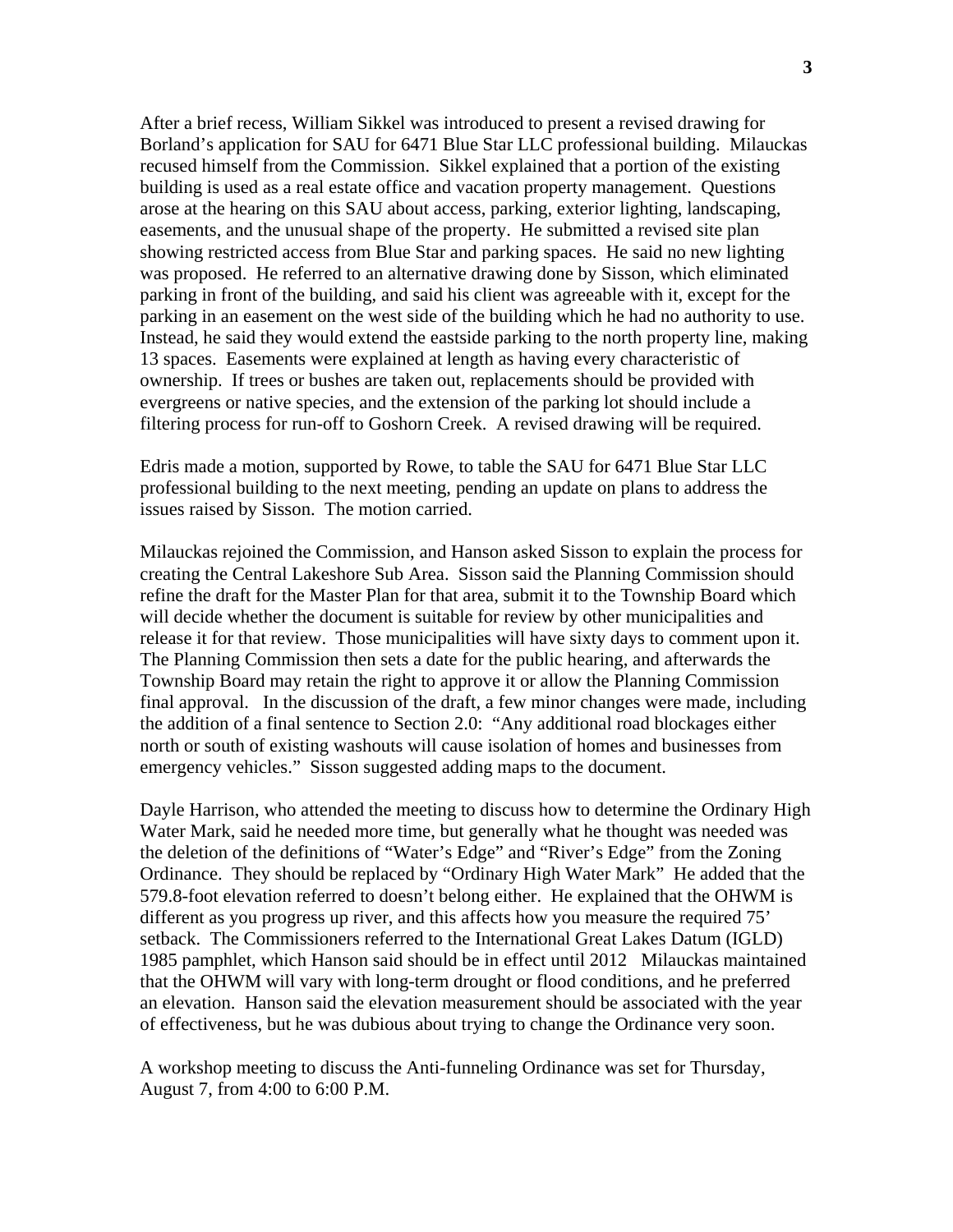After a brief recess, William Sikkel was introduced to present a revised drawing for Borland's application for SAU for 6471 Blue Star LLC professional building. Milauckas recused himself from the Commission. Sikkel explained that a portion of the existing building is used as a real estate office and vacation property management. Questions arose at the hearing on this SAU about access, parking, exterior lighting, landscaping, easements, and the unusual shape of the property. He submitted a revised site plan showing restricted access from Blue Star and parking spaces. He said no new lighting was proposed. He referred to an alternative drawing done by Sisson, which eliminated parking in front of the building, and said his client was agreeable with it, except for the parking in an easement on the west side of the building which he had no authority to use. Instead, he said they would extend the eastside parking to the north property line, making 13 spaces. Easements were explained at length as having every characteristic of ownership. If trees or bushes are taken out, replacements should be provided with evergreens or native species, and the extension of the parking lot should include a filtering process for run-off to Goshorn Creek. A revised drawing will be required.

Edris made a motion, supported by Rowe, to table the SAU for 6471 Blue Star LLC professional building to the next meeting, pending an update on plans to address the issues raised by Sisson. The motion carried.

Milauckas rejoined the Commission, and Hanson asked Sisson to explain the process for creating the Central Lakeshore Sub Area. Sisson said the Planning Commission should refine the draft for the Master Plan for that area, submit it to the Township Board which will decide whether the document is suitable for review by other municipalities and release it for that review. Those municipalities will have sixty days to comment upon it. The Planning Commission then sets a date for the public hearing, and afterwards the Township Board may retain the right to approve it or allow the Planning Commission final approval. In the discussion of the draft, a few minor changes were made, including the addition of a final sentence to Section 2.0: "Any additional road blockages either north or south of existing washouts will cause isolation of homes and businesses from emergency vehicles." Sisson suggested adding maps to the document.

Dayle Harrison, who attended the meeting to discuss how to determine the Ordinary High Water Mark, said he needed more time, but generally what he thought was needed was the deletion of the definitions of "Water's Edge" and "River's Edge" from the Zoning Ordinance. They should be replaced by "Ordinary High Water Mark" He added that the 579.8-foot elevation referred to doesn't belong either. He explained that the OHWM is different as you progress up river, and this affects how you measure the required 75' setback. The Commissioners referred to the International Great Lakes Datum (IGLD) 1985 pamphlet, which Hanson said should be in effect until 2012 Milauckas maintained that the OHWM will vary with long-term drought or flood conditions, and he preferred an elevation. Hanson said the elevation measurement should be associated with the year of effectiveness, but he was dubious about trying to change the Ordinance very soon.

A workshop meeting to discuss the Anti-funneling Ordinance was set for Thursday, August 7, from 4:00 to 6:00 P.M.